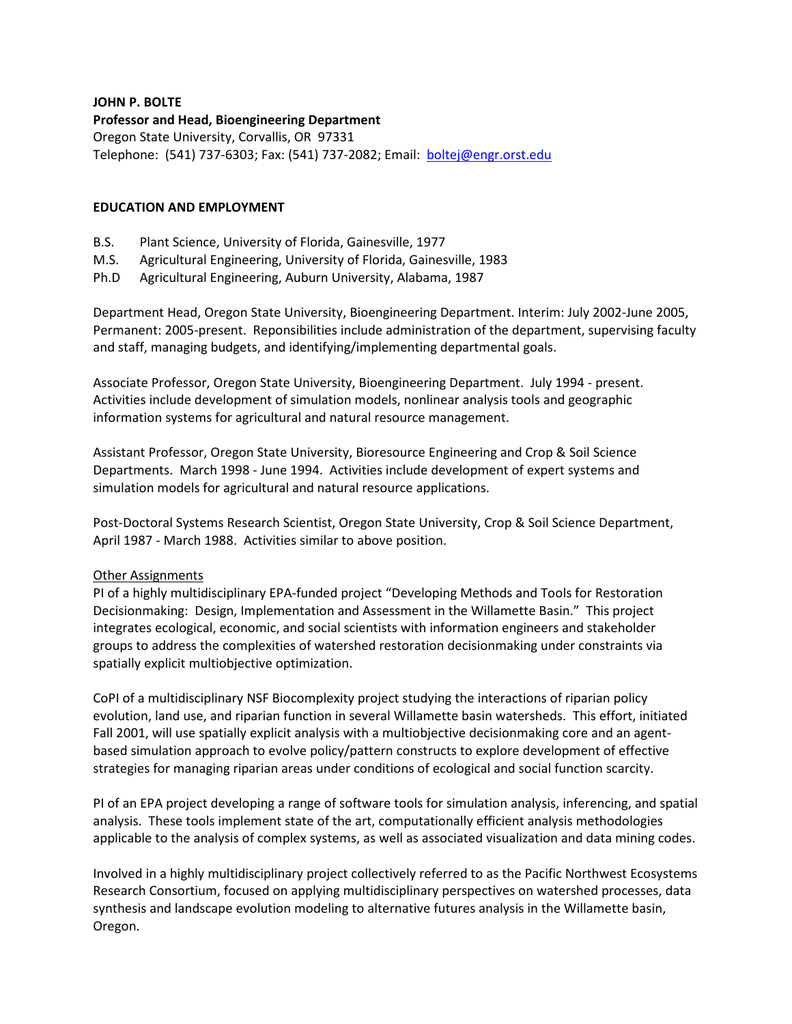# **JOHN P. BOLTE**

**Professor and Head, Bioengineering Department** Oregon State University, Corvallis, OR 97331 Telephone: (541) 737-6303; Fax: (541) 737-2082; Email: [boltej@engr.orst.edu](mailto:boltej@engr.orst.edu)

# **EDUCATION AND EMPLOYMENT**

- B.S. Plant Science, University of Florida, Gainesville, 1977
- M.S. Agricultural Engineering, University of Florida, Gainesville, 1983
- Ph.D Agricultural Engineering, Auburn University, Alabama, 1987

Department Head, Oregon State University, Bioengineering Department. Interim: July 2002-June 2005, Permanent: 2005-present. Reponsibilities include administration of the department, supervising faculty and staff, managing budgets, and identifying/implementing departmental goals.

Associate Professor, Oregon State University, Bioengineering Department. July 1994 - present. Activities include development of simulation models, nonlinear analysis tools and geographic information systems for agricultural and natural resource management.

Assistant Professor, Oregon State University, Bioresource Engineering and Crop & Soil Science Departments. March 1998 - June 1994. Activities include development of expert systems and simulation models for agricultural and natural resource applications.

Post-Doctoral Systems Research Scientist, Oregon State University, Crop & Soil Science Department, April 1987 - March 1988. Activities similar to above position.

## Other Assignments

PI of a highly multidisciplinary EPA-funded project "Developing Methods and Tools for Restoration Decisionmaking: Design, Implementation and Assessment in the Willamette Basin." This project integrates ecological, economic, and social scientists with information engineers and stakeholder groups to address the complexities of watershed restoration decisionmaking under constraints via spatially explicit multiobjective optimization.

CoPI of a multidisciplinary NSF Biocomplexity project studying the interactions of riparian policy evolution, land use, and riparian function in several Willamette basin watersheds. This effort, initiated Fall 2001, will use spatially explicit analysis with a multiobjective decisionmaking core and an agentbased simulation approach to evolve policy/pattern constructs to explore development of effective strategies for managing riparian areas under conditions of ecological and social function scarcity.

PI of an EPA project developing a range of software tools for simulation analysis, inferencing, and spatial analysis. These tools implement state of the art, computationally efficient analysis methodologies applicable to the analysis of complex systems, as well as associated visualization and data mining codes.

Involved in a highly multidisciplinary project collectively referred to as the Pacific Northwest Ecosystems Research Consortium, focused on applying multidisciplinary perspectives on watershed processes, data synthesis and landscape evolution modeling to alternative futures analysis in the Willamette basin, Oregon.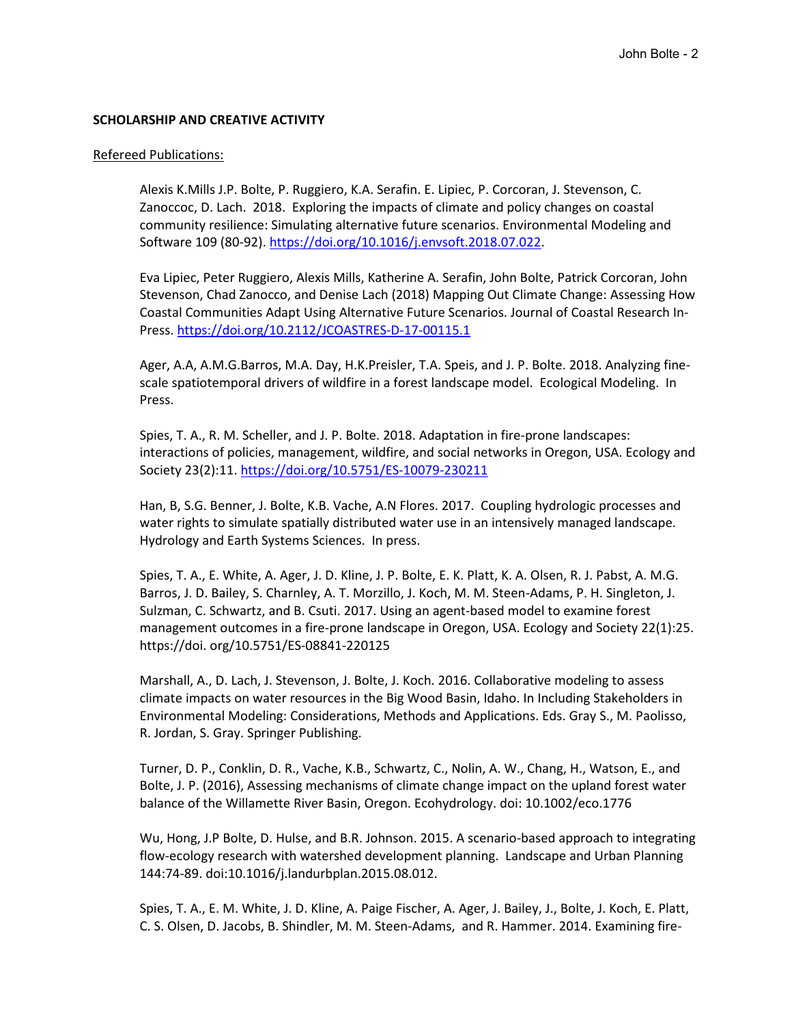## **SCHOLARSHIP AND CREATIVE ACTIVITY**

#### Refereed Publications:

Alexis K.Mills J.P. Bolte, P. Ruggiero, K.A. Serafin. E. Lipiec, P. Corcoran, J. Stevenson, C. Zanoccoc, D. Lach. 2018. Exploring the impacts of climate and policy changes on coastal community resilience: Simulating alternative future scenarios. Environmental Modeling and Software 109 (80-92). [https://doi.org/10.1016/j.envsoft.2018.07.022.](https://doi.org/10.1016/j.envsoft.2018.07.022)

Eva Lipiec, Peter Ruggiero, Alexis Mills, Katherine A. Serafin, John Bolte, Patrick Corcoran, John Stevenson, Chad Zanocco, and Denise Lach (2018) Mapping Out Climate Change: Assessing How Coastal Communities Adapt Using Alternative Future Scenarios. Journal of Coastal Research In-Press.<https://doi.org/10.2112/JCOASTRES-D-17-00115.1>

Ager, A.A, A.M.G.Barros, M.A. Day, H.K.Preisler, T.A. Speis, and J. P. Bolte. 2018. Analyzing finescale spatiotemporal drivers of wildfire in a forest landscape model. Ecological Modeling. In Press.

Spies, T. A., R. M. Scheller, and J. P. Bolte. 2018. Adaptation in fire-prone landscapes: interactions of policies, management, wildfire, and social networks in Oregon, USA. Ecology and Society 23(2):11.<https://doi.org/10.5751/ES-10079-230211>

Han, B, S.G. Benner, J. Bolte, K.B. Vache, A.N Flores. 2017. Coupling hydrologic processes and water rights to simulate spatially distributed water use in an intensively managed landscape. Hydrology and Earth Systems Sciences. In press.

Spies, T. A., E. White, A. Ager, J. D. Kline, J. P. Bolte, E. K. Platt, K. A. Olsen, R. J. Pabst, A. M.G. Barros, J. D. Bailey, S. Charnley, A. T. Morzillo, J. Koch, M. M. Steen-Adams, P. H. Singleton, J. Sulzman, C. Schwartz, and B. Csuti. 2017. Using an agent-based model to examine forest management outcomes in a fire-prone landscape in Oregon, USA. Ecology and Society 22(1):25. https://doi. org/10.5751/ES-08841-220125

Marshall, A., D. Lach, J. Stevenson, J. Bolte, J. Koch. 2016. Collaborative modeling to assess climate impacts on water resources in the Big Wood Basin, Idaho. In Including Stakeholders in Environmental Modeling: Considerations, Methods and Applications. Eds. Gray S., M. Paolisso, R. Jordan, S. Gray. Springer Publishing.

Turner, D. P., Conklin, D. R., Vache, K.B., Schwartz, C., Nolin, A. W., Chang, H., Watson, E., and Bolte, J. P. (2016), Assessing mechanisms of climate change impact on the upland forest water balance of the Willamette River Basin, Oregon. Ecohydrology. doi: 10.1002/eco.1776

Wu, Hong, J.P Bolte, D. Hulse, and B.R. Johnson. 2015. A scenario-based approach to integrating flow-ecology research with watershed development planning. Landscape and Urban Planning 144:74-89. doi:10.1016/j.landurbplan.2015.08.012.

Spies, T. A., E. M. White, J. D. Kline, A. Paige Fischer, A. Ager, J. Bailey, J., Bolte, J. Koch, E. Platt, C. S. Olsen, D. Jacobs, B. Shindler, M. M. Steen-Adams, and R. Hammer. 2014. Examining fire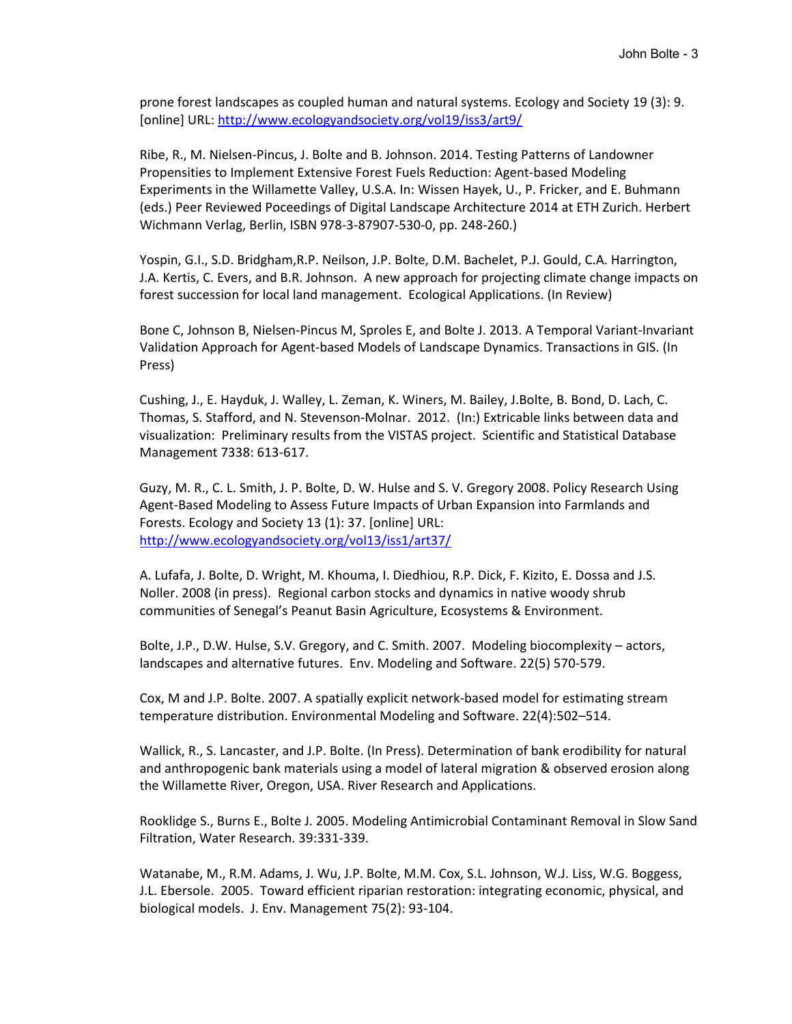prone forest landscapes as coupled human and natural systems. Ecology and Society 19 (3): 9. [online] URL: <http://www.ecologyandsociety.org/vol19/iss3/art9/>

Ribe, R., M. Nielsen-Pincus, J. Bolte and B. Johnson. 2014. Testing Patterns of Landowner Propensities to Implement Extensive Forest Fuels Reduction: Agent-based Modeling Experiments in the Willamette Valley, U.S.A. In: Wissen Hayek, U., P. Fricker, and E. Buhmann (eds.) Peer Reviewed Poceedings of Digital Landscape Architecture 2014 at ETH Zurich. Herbert Wichmann Verlag, Berlin, ISBN 978-3-87907-530-0, pp. 248-260.)

Yospin, G.I., S.D. Bridgham,R.P. Neilson, J.P. Bolte, D.M. Bachelet, P.J. Gould, C.A. Harrington, J.A. Kertis, C. Evers, and B.R. Johnson. A new approach for projecting climate change impacts on forest succession for local land management. Ecological Applications. (In Review)

Bone C, Johnson B, Nielsen-Pincus M, Sproles E, and Bolte J. 2013. A Temporal Variant-Invariant Validation Approach for Agent-based Models of Landscape Dynamics. Transactions in GIS. (In Press)

Cushing, J., E. Hayduk, J. Walley, L. Zeman, K. Winers, M. Bailey, J.Bolte, B. Bond, D. Lach, C. Thomas, S. Stafford, and N. Stevenson-Molnar. 2012. (In:) Extricable links between data and visualization: Preliminary results from the VISTAS project. Scientific and Statistical Database Management 7338: 613-617.

Guzy, M. R., C. L. Smith, J. P. Bolte, D. W. Hulse and S. V. Gregory 2008. Policy Research Using Agent-Based Modeling to Assess Future Impacts of Urban Expansion into Farmlands and Forests. Ecology and Society 13 (1): 37. [online] URL: <http://www.ecologyandsociety.org/vol13/iss1/art37/>

A. Lufafa, J. Bolte, D. Wright, M. Khouma, I. Diedhiou, R.P. Dick, F. Kizito, E. Dossa and J.S. Noller. 2008 (in press). Regional carbon stocks and dynamics in native woody shrub communities of Senegal's Peanut Basin Agriculture, Ecosystems & Environment.

Bolte, J.P., D.W. Hulse, S.V. Gregory, and C. Smith. 2007. Modeling biocomplexity – actors, landscapes and alternative futures. Env. Modeling and Software. 22(5) 570-579.

Cox, M and J.P. Bolte. 2007. A spatially explicit network-based model for estimating stream temperature distribution. Environmental Modeling and Software. 22(4):502–514.

Wallick, R., S. Lancaster, and J.P. Bolte. (In Press). Determination of bank erodibility for natural and anthropogenic bank materials using a model of lateral migration & observed erosion along the Willamette River, Oregon, USA. River Research and Applications.

Rooklidge S., Burns E., Bolte J. 2005. Modeling Antimicrobial Contaminant Removal in Slow Sand Filtration, Water Research. 39:331-339.

Watanabe, M., R.M. Adams, J. Wu, J.P. Bolte, M.M. Cox, S.L. Johnson, W.J. Liss, W.G. Boggess, J.L. Ebersole. 2005. Toward efficient riparian restoration: integrating economic, physical, and biological models. J. Env. Management 75(2): 93-104.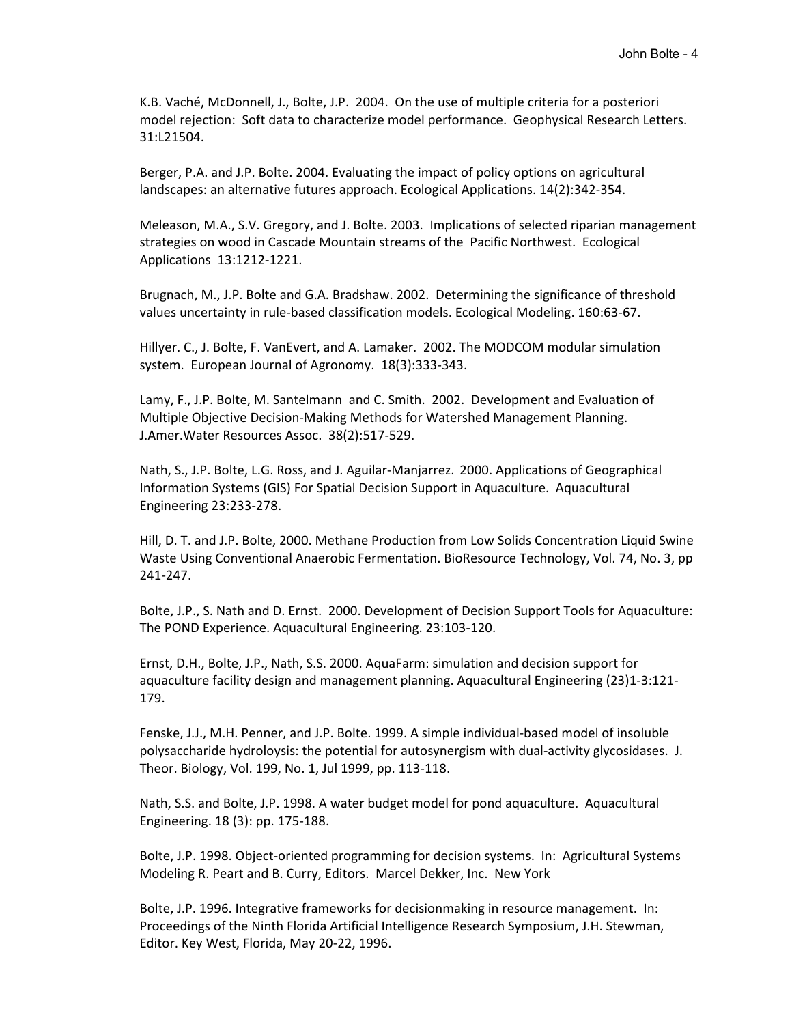K.B. Vaché, McDonnell, J., Bolte, J.P. 2004. On the use of multiple criteria for a posteriori model rejection: Soft data to characterize model performance. Geophysical Research Letters. 31:L21504.

Berger, P.A. and J.P. Bolte. 2004. Evaluating the impact of policy options on agricultural landscapes: an alternative futures approach. Ecological Applications. 14(2):342-354.

Meleason, M.A., S.V. Gregory, and J. Bolte. 2003. Implications of selected riparian management strategies on wood in Cascade Mountain streams of the Pacific Northwest. Ecological Applications 13:1212-1221.

Brugnach, M., J.P. Bolte and G.A. Bradshaw. 2002. Determining the significance of threshold values uncertainty in rule-based classification models. Ecological Modeling. 160:63-67.

Hillyer. C., J. Bolte, F. VanEvert, and A. Lamaker. 2002. The MODCOM modular simulation system. European Journal of Agronomy. 18(3):333-343.

Lamy, F., J.P. Bolte, M. Santelmann and C. Smith. 2002. Development and Evaluation of Multiple Objective Decision-Making Methods for Watershed Management Planning. J.Amer.Water Resources Assoc. 38(2):517-529.

Nath, S., J.P. Bolte, L.G. Ross, and J. Aguilar-Manjarrez. 2000. Applications of Geographical Information Systems (GIS) For Spatial Decision Support in Aquaculture. Aquacultural Engineering 23:233-278.

Hill, D. T. and J.P. Bolte, 2000. Methane Production from Low Solids Concentration Liquid Swine Waste Using Conventional Anaerobic Fermentation. BioResource Technology, Vol. 74, No. 3, pp 241-247.

Bolte, J.P., S. Nath and D. Ernst. 2000. Development of Decision Support Tools for Aquaculture: The POND Experience. Aquacultural Engineering. 23:103-120.

Ernst, D.H., Bolte, J.P., Nath, S.S. 2000. AquaFarm: simulation and decision support for aquaculture facility design and management planning. Aquacultural Engineering (23)1-3:121- 179.

Fenske, J.J., M.H. Penner, and J.P. Bolte. 1999. A simple individual-based model of insoluble polysaccharide hydroloysis: the potential for autosynergism with dual-activity glycosidases. J. Theor. Biology, Vol. 199, No. 1, Jul 1999, pp. 113-118.

Nath, S.S. and Bolte, J.P. 1998. A water budget model for pond aquaculture. Aquacultural Engineering. 18 (3): pp. 175-188.

Bolte, J.P. 1998. Object-oriented programming for decision systems. In: Agricultural Systems Modeling R. Peart and B. Curry, Editors. Marcel Dekker, Inc. New York

Bolte, J.P. 1996. Integrative frameworks for decisionmaking in resource management. In: Proceedings of the Ninth Florida Artificial Intelligence Research Symposium, J.H. Stewman, Editor. Key West, Florida, May 20-22, 1996.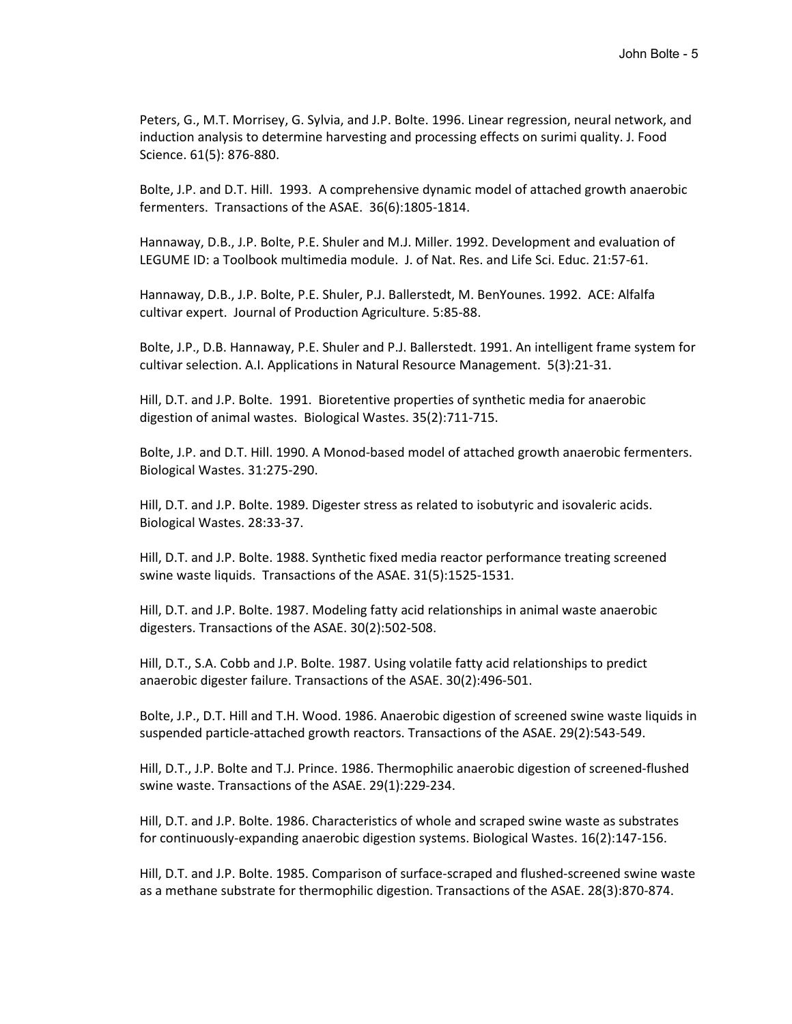Peters, G., M.T. Morrisey, G. Sylvia, and J.P. Bolte. 1996. Linear regression, neural network, and induction analysis to determine harvesting and processing effects on surimi quality. J. Food Science. 61(5): 876-880.

Bolte, J.P. and D.T. Hill. 1993. A comprehensive dynamic model of attached growth anaerobic fermenters. Transactions of the ASAE. 36(6):1805-1814.

Hannaway, D.B., J.P. Bolte, P.E. Shuler and M.J. Miller. 1992. Development and evaluation of LEGUME ID: a Toolbook multimedia module. J. of Nat. Res. and Life Sci. Educ. 21:57-61.

Hannaway, D.B., J.P. Bolte, P.E. Shuler, P.J. Ballerstedt, M. BenYounes. 1992. ACE: Alfalfa cultivar expert. Journal of Production Agriculture. 5:85-88.

Bolte, J.P., D.B. Hannaway, P.E. Shuler and P.J. Ballerstedt. 1991. An intelligent frame system for cultivar selection. A.I. Applications in Natural Resource Management. 5(3):21-31.

Hill, D.T. and J.P. Bolte. 1991. Bioretentive properties of synthetic media for anaerobic digestion of animal wastes. Biological Wastes. 35(2):711-715.

Bolte, J.P. and D.T. Hill. 1990. A Monod-based model of attached growth anaerobic fermenters. Biological Wastes. 31:275-290.

Hill, D.T. and J.P. Bolte. 1989. Digester stress as related to isobutyric and isovaleric acids. Biological Wastes. 28:33-37.

Hill, D.T. and J.P. Bolte. 1988. Synthetic fixed media reactor performance treating screened swine waste liquids. Transactions of the ASAE. 31(5):1525-1531.

Hill, D.T. and J.P. Bolte. 1987. Modeling fatty acid relationships in animal waste anaerobic digesters. Transactions of the ASAE. 30(2):502-508.

Hill, D.T., S.A. Cobb and J.P. Bolte. 1987. Using volatile fatty acid relationships to predict anaerobic digester failure. Transactions of the ASAE. 30(2):496-501.

Bolte, J.P., D.T. Hill and T.H. Wood. 1986. Anaerobic digestion of screened swine waste liquids in suspended particle-attached growth reactors. Transactions of the ASAE. 29(2):543-549.

Hill, D.T., J.P. Bolte and T.J. Prince. 1986. Thermophilic anaerobic digestion of screened-flushed swine waste. Transactions of the ASAE. 29(1):229-234.

Hill, D.T. and J.P. Bolte. 1986. Characteristics of whole and scraped swine waste as substrates for continuously-expanding anaerobic digestion systems. Biological Wastes. 16(2):147-156.

Hill, D.T. and J.P. Bolte. 1985. Comparison of surface-scraped and flushed-screened swine waste as a methane substrate for thermophilic digestion. Transactions of the ASAE. 28(3):870-874.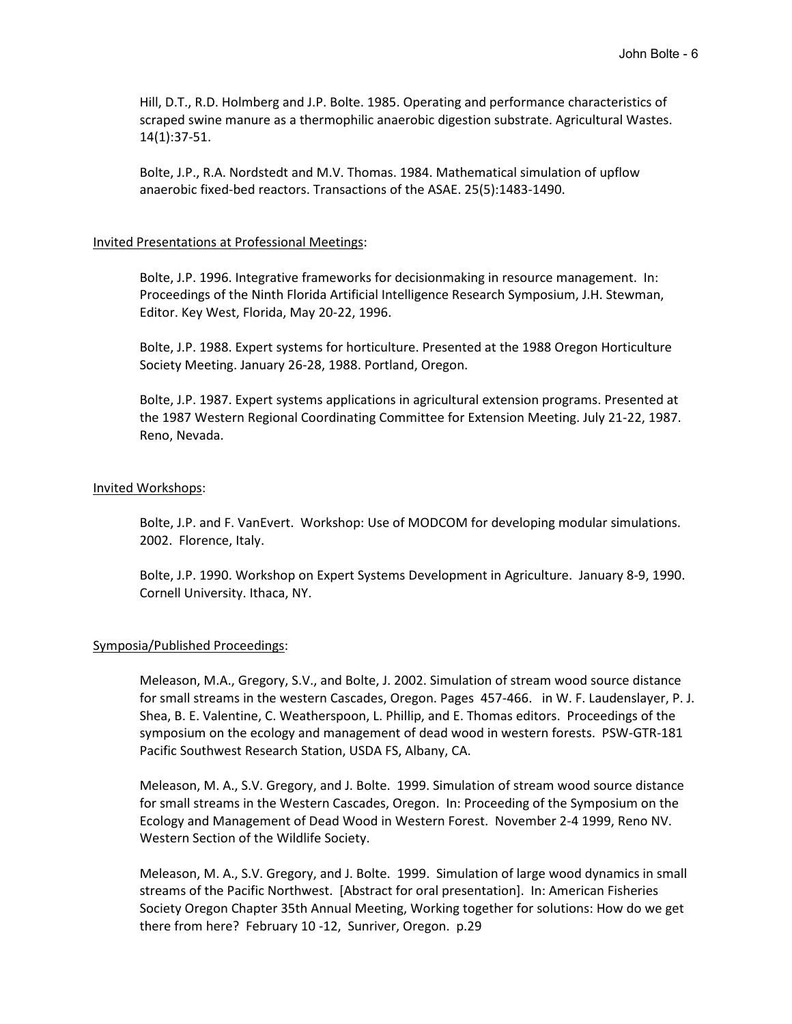Hill, D.T., R.D. Holmberg and J.P. Bolte. 1985. Operating and performance characteristics of scraped swine manure as a thermophilic anaerobic digestion substrate. Agricultural Wastes. 14(1):37-51.

Bolte, J.P., R.A. Nordstedt and M.V. Thomas. 1984. Mathematical simulation of upflow anaerobic fixed-bed reactors. Transactions of the ASAE. 25(5):1483-1490.

#### Invited Presentations at Professional Meetings:

Bolte, J.P. 1996. Integrative frameworks for decisionmaking in resource management. In: Proceedings of the Ninth Florida Artificial Intelligence Research Symposium, J.H. Stewman, Editor. Key West, Florida, May 20-22, 1996.

Bolte, J.P. 1988. Expert systems for horticulture. Presented at the 1988 Oregon Horticulture Society Meeting. January 26-28, 1988. Portland, Oregon.

Bolte, J.P. 1987. Expert systems applications in agricultural extension programs. Presented at the 1987 Western Regional Coordinating Committee for Extension Meeting. July 21-22, 1987. Reno, Nevada.

#### Invited Workshops:

Bolte, J.P. and F. VanEvert. Workshop: Use of MODCOM for developing modular simulations. 2002. Florence, Italy.

Bolte, J.P. 1990. Workshop on Expert Systems Development in Agriculture. January 8-9, 1990. Cornell University. Ithaca, NY.

#### Symposia/Published Proceedings:

Meleason, M.A., Gregory, S.V., and Bolte, J. 2002. Simulation of stream wood source distance for small streams in the western Cascades, Oregon. Pages 457-466. in W. F. Laudenslayer, P. J. Shea, B. E. Valentine, C. Weatherspoon, L. Phillip, and E. Thomas editors. Proceedings of the symposium on the ecology and management of dead wood in western forests. PSW-GTR-181 Pacific Southwest Research Station, USDA FS, Albany, CA.

Meleason, M. A., S.V. Gregory, and J. Bolte. 1999. Simulation of stream wood source distance for small streams in the Western Cascades, Oregon. In: Proceeding of the Symposium on the Ecology and Management of Dead Wood in Western Forest. November 2-4 1999, Reno NV. Western Section of the Wildlife Society.

Meleason, M. A., S.V. Gregory, and J. Bolte. 1999. Simulation of large wood dynamics in small streams of the Pacific Northwest. [Abstract for oral presentation]. In: American Fisheries Society Oregon Chapter 35th Annual Meeting, Working together for solutions: How do we get there from here? February 10 -12, Sunriver, Oregon. p.29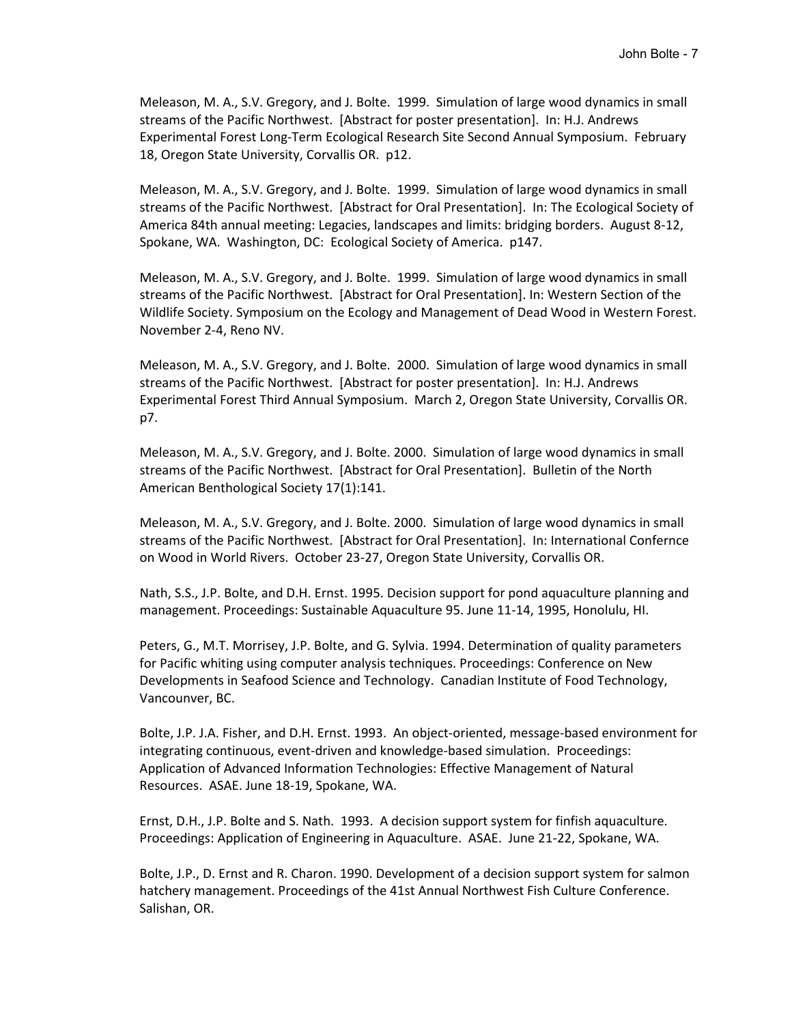Meleason, M. A., S.V. Gregory, and J. Bolte. 1999. Simulation of large wood dynamics in small streams of the Pacific Northwest. [Abstract for poster presentation]. In: H.J. Andrews Experimental Forest Long-Term Ecological Research Site Second Annual Symposium. February 18, Oregon State University, Corvallis OR. p12.

Meleason, M. A., S.V. Gregory, and J. Bolte. 1999. Simulation of large wood dynamics in small streams of the Pacific Northwest. [Abstract for Oral Presentation]. In: The Ecological Society of America 84th annual meeting: Legacies, landscapes and limits: bridging borders. August 8-12, Spokane, WA. Washington, DC: Ecological Society of America. p147.

Meleason, M. A., S.V. Gregory, and J. Bolte. 1999. Simulation of large wood dynamics in small streams of the Pacific Northwest. [Abstract for Oral Presentation]. In: Western Section of the Wildlife Society. Symposium on the Ecology and Management of Dead Wood in Western Forest. November 2-4, Reno NV.

Meleason, M. A., S.V. Gregory, and J. Bolte. 2000. Simulation of large wood dynamics in small streams of the Pacific Northwest. [Abstract for poster presentation]. In: H.J. Andrews Experimental Forest Third Annual Symposium. March 2, Oregon State University, Corvallis OR. p7.

Meleason, M. A., S.V. Gregory, and J. Bolte. 2000. Simulation of large wood dynamics in small streams of the Pacific Northwest. [Abstract for Oral Presentation]. Bulletin of the North American Benthological Society 17(1):141.

Meleason, M. A., S.V. Gregory, and J. Bolte. 2000. Simulation of large wood dynamics in small streams of the Pacific Northwest. [Abstract for Oral Presentation]. In: International Confernce on Wood in World Rivers. October 23-27, Oregon State University, Corvallis OR.

Nath, S.S., J.P. Bolte, and D.H. Ernst. 1995. Decision support for pond aquaculture planning and management. Proceedings: Sustainable Aquaculture 95. June 11-14, 1995, Honolulu, HI.

Peters, G., M.T. Morrisey, J.P. Bolte, and G. Sylvia. 1994. Determination of quality parameters for Pacific whiting using computer analysis techniques. Proceedings: Conference on New Developments in Seafood Science and Technology. Canadian Institute of Food Technology, Vancounver, BC.

Bolte, J.P. J.A. Fisher, and D.H. Ernst. 1993. An object-oriented, message-based environment for integrating continuous, event-driven and knowledge-based simulation. Proceedings: Application of Advanced Information Technologies: Effective Management of Natural Resources. ASAE. June 18-19, Spokane, WA.

Ernst, D.H., J.P. Bolte and S. Nath. 1993. A decision support system for finfish aquaculture. Proceedings: Application of Engineering in Aquaculture. ASAE. June 21-22, Spokane, WA.

Bolte, J.P., D. Ernst and R. Charon. 1990. Development of a decision support system for salmon hatchery management. Proceedings of the 41st Annual Northwest Fish Culture Conference. Salishan, OR.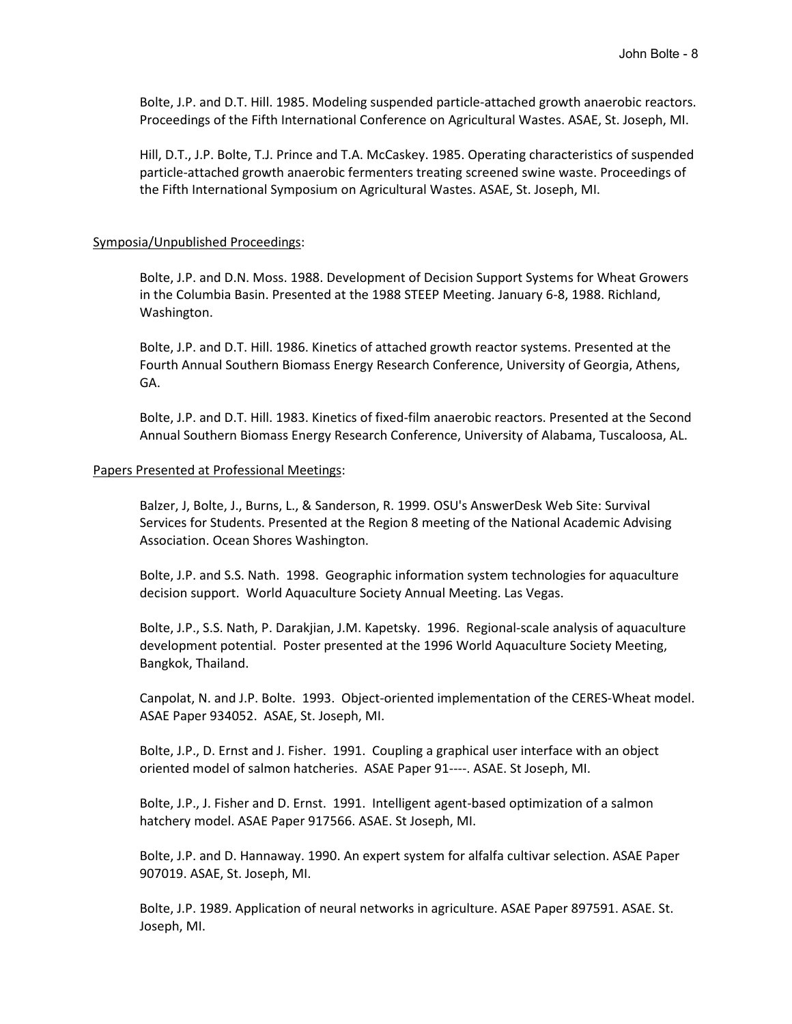Bolte, J.P. and D.T. Hill. 1985. Modeling suspended particle-attached growth anaerobic reactors. Proceedings of the Fifth International Conference on Agricultural Wastes. ASAE, St. Joseph, MI.

Hill, D.T., J.P. Bolte, T.J. Prince and T.A. McCaskey. 1985. Operating characteristics of suspended particle-attached growth anaerobic fermenters treating screened swine waste. Proceedings of the Fifth International Symposium on Agricultural Wastes. ASAE, St. Joseph, MI.

#### Symposia/Unpublished Proceedings:

Bolte, J.P. and D.N. Moss. 1988. Development of Decision Support Systems for Wheat Growers in the Columbia Basin. Presented at the 1988 STEEP Meeting. January 6-8, 1988. Richland, Washington.

Bolte, J.P. and D.T. Hill. 1986. Kinetics of attached growth reactor systems. Presented at the Fourth Annual Southern Biomass Energy Research Conference, University of Georgia, Athens, GA.

Bolte, J.P. and D.T. Hill. 1983. Kinetics of fixed-film anaerobic reactors. Presented at the Second Annual Southern Biomass Energy Research Conference, University of Alabama, Tuscaloosa, AL.

#### Papers Presented at Professional Meetings:

Balzer, J, Bolte, J., Burns, L., & Sanderson, R. 1999. OSU's AnswerDesk Web Site: Survival Services for Students. Presented at the Region 8 meeting of the National Academic Advising Association. Ocean Shores Washington.

Bolte, J.P. and S.S. Nath. 1998. Geographic information system technologies for aquaculture decision support. World Aquaculture Society Annual Meeting. Las Vegas.

Bolte, J.P., S.S. Nath, P. Darakjian, J.M. Kapetsky. 1996. Regional-scale analysis of aquaculture development potential. Poster presented at the 1996 World Aquaculture Society Meeting, Bangkok, Thailand.

Canpolat, N. and J.P. Bolte. 1993. Object-oriented implementation of the CERES-Wheat model. ASAE Paper 934052. ASAE, St. Joseph, MI.

Bolte, J.P., D. Ernst and J. Fisher. 1991. Coupling a graphical user interface with an object oriented model of salmon hatcheries. ASAE Paper 91----. ASAE. St Joseph, MI.

Bolte, J.P., J. Fisher and D. Ernst. 1991. Intelligent agent-based optimization of a salmon hatchery model. ASAE Paper 917566. ASAE. St Joseph, MI.

Bolte, J.P. and D. Hannaway. 1990. An expert system for alfalfa cultivar selection. ASAE Paper 907019. ASAE, St. Joseph, MI.

Bolte, J.P. 1989. Application of neural networks in agriculture. ASAE Paper 897591. ASAE. St. Joseph, MI.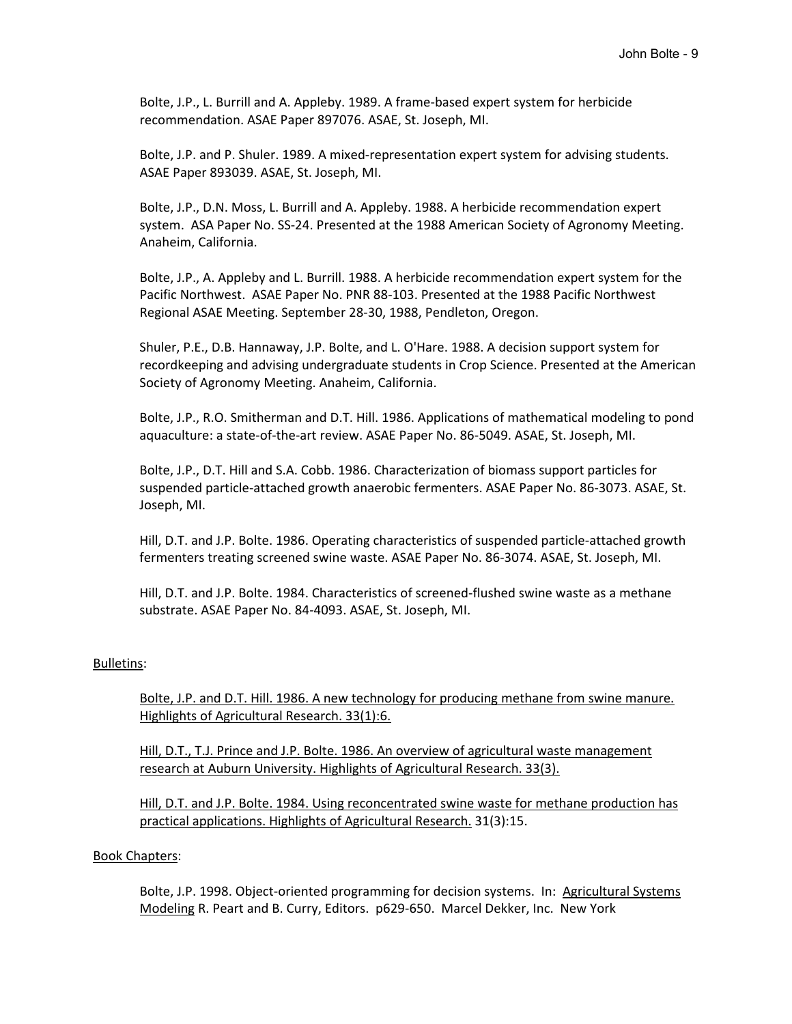Bolte, J.P., L. Burrill and A. Appleby. 1989. A frame-based expert system for herbicide recommendation. ASAE Paper 897076. ASAE, St. Joseph, MI.

Bolte, J.P. and P. Shuler. 1989. A mixed-representation expert system for advising students. ASAE Paper 893039. ASAE, St. Joseph, MI.

Bolte, J.P., D.N. Moss, L. Burrill and A. Appleby. 1988. A herbicide recommendation expert system. ASA Paper No. SS-24. Presented at the 1988 American Society of Agronomy Meeting. Anaheim, California.

Bolte, J.P., A. Appleby and L. Burrill. 1988. A herbicide recommendation expert system for the Pacific Northwest. ASAE Paper No. PNR 88-103. Presented at the 1988 Pacific Northwest Regional ASAE Meeting. September 28-30, 1988, Pendleton, Oregon.

Shuler, P.E., D.B. Hannaway, J.P. Bolte, and L. O'Hare. 1988. A decision support system for recordkeeping and advising undergraduate students in Crop Science. Presented at the American Society of Agronomy Meeting. Anaheim, California.

Bolte, J.P., R.O. Smitherman and D.T. Hill. 1986. Applications of mathematical modeling to pond aquaculture: a state-of-the-art review. ASAE Paper No. 86-5049. ASAE, St. Joseph, MI.

Bolte, J.P., D.T. Hill and S.A. Cobb. 1986. Characterization of biomass support particles for suspended particle-attached growth anaerobic fermenters. ASAE Paper No. 86-3073. ASAE, St. Joseph, MI.

Hill, D.T. and J.P. Bolte. 1986. Operating characteristics of suspended particle-attached growth fermenters treating screened swine waste. ASAE Paper No. 86-3074. ASAE, St. Joseph, MI.

Hill, D.T. and J.P. Bolte. 1984. Characteristics of screened-flushed swine waste as a methane substrate. ASAE Paper No. 84-4093. ASAE, St. Joseph, MI.

## Bulletins:

Bolte, J.P. and D.T. Hill. 1986. A new technology for producing methane from swine manure. Highlights of Agricultural Research. 33(1):6.

Hill, D.T., T.J. Prince and J.P. Bolte. 1986. An overview of agricultural waste management research at Auburn University. Highlights of Agricultural Research. 33(3).

Hill, D.T. and J.P. Bolte. 1984. Using reconcentrated swine waste for methane production has practical applications. Highlights of Agricultural Research. 31(3):15.

## Book Chapters:

Bolte, J.P. 1998. Object-oriented programming for decision systems. In: Agricultural Systems Modeling R. Peart and B. Curry, Editors. p629-650. Marcel Dekker, Inc. New York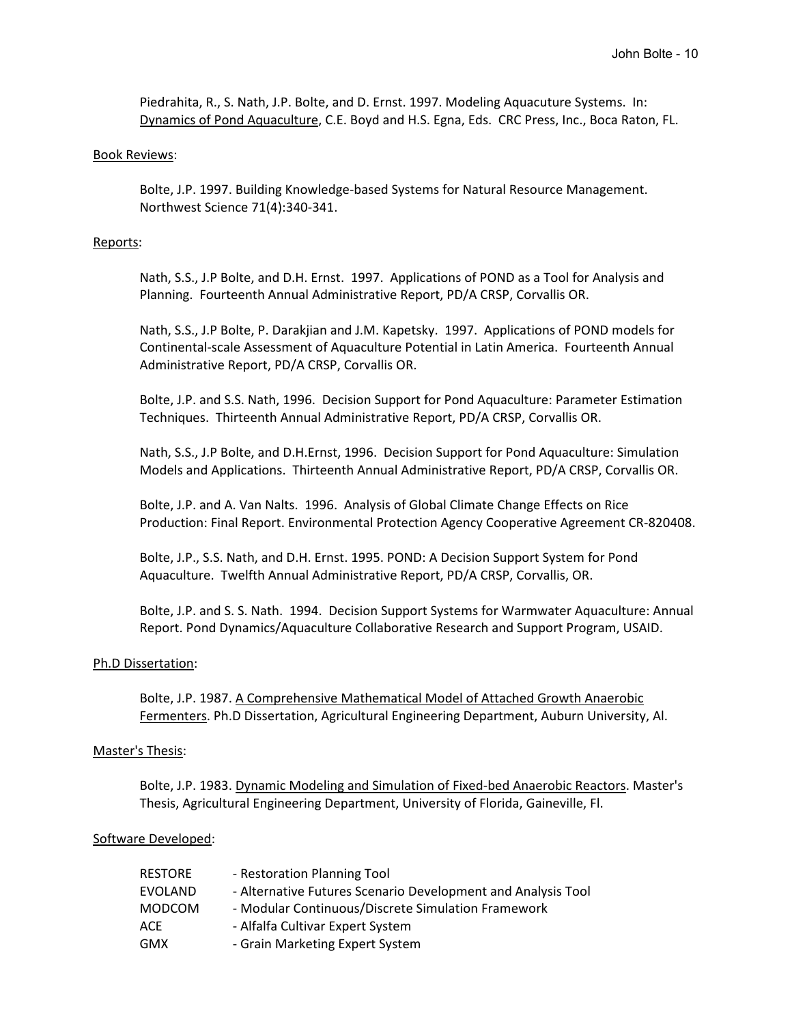Piedrahita, R., S. Nath, J.P. Bolte, and D. Ernst. 1997. Modeling Aquacuture Systems. In: Dynamics of Pond Aquaculture, C.E. Boyd and H.S. Egna, Eds. CRC Press, Inc., Boca Raton, FL.

### Book Reviews:

Bolte, J.P. 1997. Building Knowledge-based Systems for Natural Resource Management. Northwest Science 71(4):340-341.

### Reports:

Nath, S.S., J.P Bolte, and D.H. Ernst. 1997. Applications of POND as a Tool for Analysis and Planning. Fourteenth Annual Administrative Report, PD/A CRSP, Corvallis OR.

Nath, S.S., J.P Bolte, P. Darakjian and J.M. Kapetsky. 1997. Applications of POND models for Continental-scale Assessment of Aquaculture Potential in Latin America. Fourteenth Annual Administrative Report, PD/A CRSP, Corvallis OR.

Bolte, J.P. and S.S. Nath, 1996. Decision Support for Pond Aquaculture: Parameter Estimation Techniques. Thirteenth Annual Administrative Report, PD/A CRSP, Corvallis OR.

Nath, S.S., J.P Bolte, and D.H.Ernst, 1996. Decision Support for Pond Aquaculture: Simulation Models and Applications. Thirteenth Annual Administrative Report, PD/A CRSP, Corvallis OR.

Bolte, J.P. and A. Van Nalts. 1996. Analysis of Global Climate Change Effects on Rice Production: Final Report. Environmental Protection Agency Cooperative Agreement CR-820408.

Bolte, J.P., S.S. Nath, and D.H. Ernst. 1995. POND: A Decision Support System for Pond Aquaculture. Twelfth Annual Administrative Report, PD/A CRSP, Corvallis, OR.

Bolte, J.P. and S. S. Nath. 1994. Decision Support Systems for Warmwater Aquaculture: Annual Report. Pond Dynamics/Aquaculture Collaborative Research and Support Program, USAID.

#### Ph.D Dissertation:

Bolte, J.P. 1987. A Comprehensive Mathematical Model of Attached Growth Anaerobic Fermenters. Ph.D Dissertation, Agricultural Engineering Department, Auburn University, Al.

#### Master's Thesis:

Bolte, J.P. 1983. Dynamic Modeling and Simulation of Fixed-bed Anaerobic Reactors. Master's Thesis, Agricultural Engineering Department, University of Florida, Gaineville, Fl.

#### Software Developed:

| RESTORE       | - Restoration Planning Tool                                  |
|---------------|--------------------------------------------------------------|
| EVOLAND       | - Alternative Futures Scenario Development and Analysis Tool |
| <b>MODCOM</b> | - Modular Continuous/Discrete Simulation Framework           |
| <b>ACE</b>    | - Alfalfa Cultivar Expert System                             |
| <b>GMX</b>    | - Grain Marketing Expert System                              |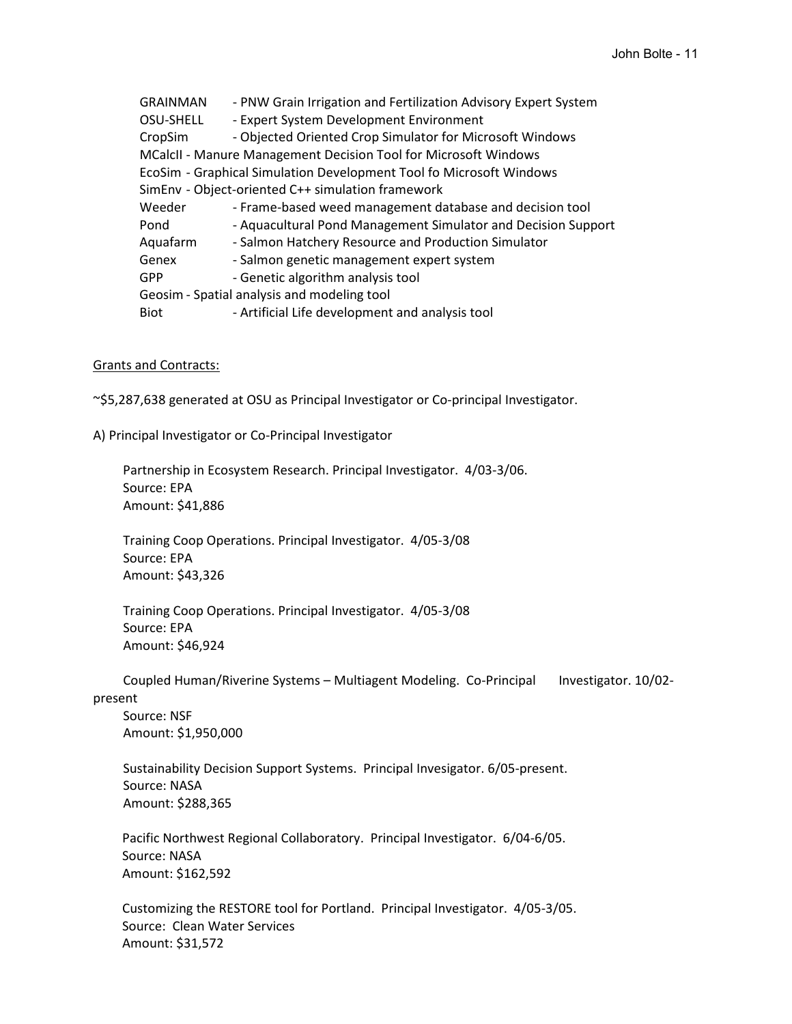GRAINMAN - PNW Grain Irrigation and Fertilization Advisory Expert System OSU-SHELL - Expert System Development Environment CropSim - Objected Oriented Crop Simulator for Microsoft Windows MCalcII - Manure Management Decision Tool for Microsoft Windows EcoSim - Graphical Simulation Development Tool fo Microsoft Windows SimEnv - Object-oriented C++ simulation framework Weeder - Frame-based weed management database and decision tool Pond - Aquacultural Pond Management Simulator and Decision Support Aquafarm - Salmon Hatchery Resource and Production Simulator Genex - Salmon genetic management expert system GPP - Genetic algorithm analysis tool Geosim - Spatial analysis and modeling tool Biot - Artificial Life development and analysis tool

## Grants and Contracts:

~\$5,287,638 generated at OSU as Principal Investigator or Co-principal Investigator.

A) Principal Investigator or Co-Principal Investigator

Partnership in Ecosystem Research. Principal Investigator. 4/03-3/06. Source: EPA Amount: \$41,886

Training Coop Operations. Principal Investigator. 4/05-3/08 Source: EPA Amount: \$43,326

Training Coop Operations. Principal Investigator. 4/05-3/08 Source: EPA Amount: \$46,924

Coupled Human/Riverine Systems – Multiagent Modeling. Co-Principal Investigator. 10/02 present

Source: NSF Amount: \$1,950,000

Sustainability Decision Support Systems. Principal Invesigator. 6/05-present. Source: NASA Amount: \$288,365

Pacific Northwest Regional Collaboratory. Principal Investigator. 6/04-6/05. Source: NASA Amount: \$162,592

Customizing the RESTORE tool for Portland. Principal Investigator. 4/05-3/05. Source: Clean Water Services Amount: \$31,572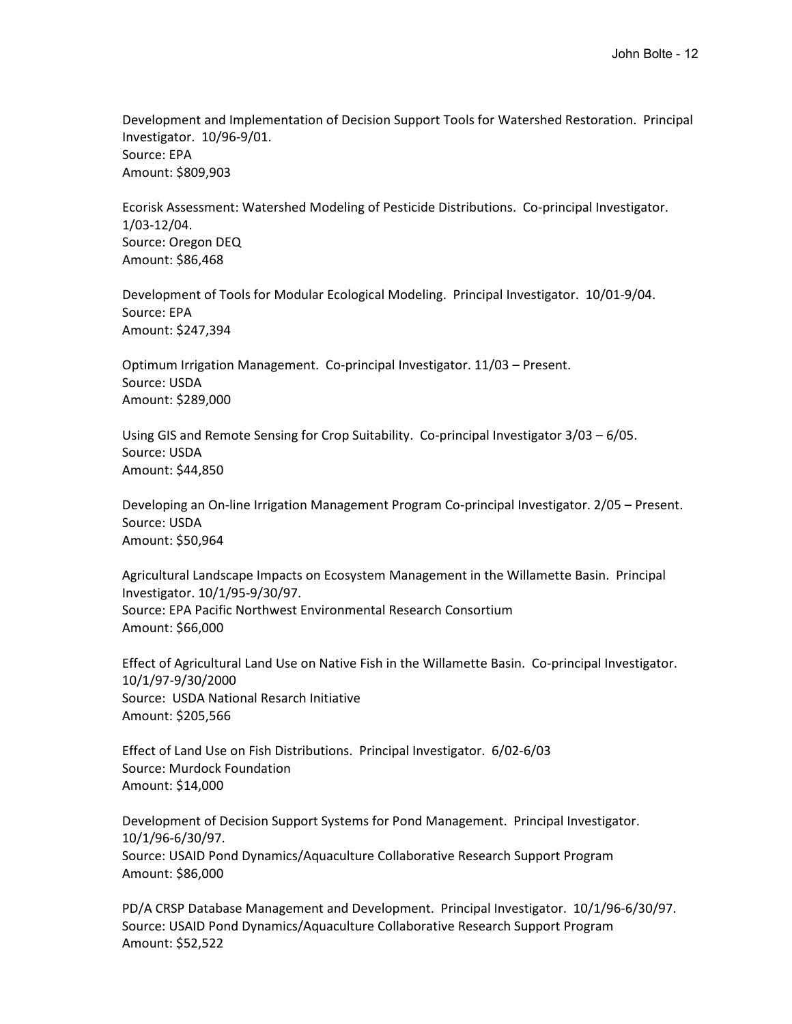Development and Implementation of Decision Support Tools for Watershed Restoration. Principal Investigator. 10/96-9/01. Source: EPA Amount: \$809,903

Ecorisk Assessment: Watershed Modeling of Pesticide Distributions. Co-principal Investigator. 1/03-12/04. Source: Oregon DEQ Amount: \$86,468

Development of Tools for Modular Ecological Modeling. Principal Investigator. 10/01-9/04. Source: EPA Amount: \$247,394

Optimum Irrigation Management. Co-principal Investigator. 11/03 – Present. Source: USDA Amount: \$289,000

Using GIS and Remote Sensing for Crop Suitability. Co-principal Investigator 3/03 – 6/05. Source: USDA Amount: \$44,850

Developing an On-line Irrigation Management Program Co-principal Investigator. 2/05 – Present. Source: USDA Amount: \$50,964

Agricultural Landscape Impacts on Ecosystem Management in the Willamette Basin. Principal Investigator. 10/1/95-9/30/97. Source: EPA Pacific Northwest Environmental Research Consortium Amount: \$66,000

Effect of Agricultural Land Use on Native Fish in the Willamette Basin. Co-principal Investigator. 10/1/97-9/30/2000 Source: USDA National Resarch Initiative Amount: \$205,566

Effect of Land Use on Fish Distributions. Principal Investigator. 6/02-6/03 Source: Murdock Foundation Amount: \$14,000

Development of Decision Support Systems for Pond Management. Principal Investigator. 10/1/96-6/30/97. Source: USAID Pond Dynamics/Aquaculture Collaborative Research Support Program Amount: \$86,000

PD/A CRSP Database Management and Development. Principal Investigator. 10/1/96-6/30/97. Source: USAID Pond Dynamics/Aquaculture Collaborative Research Support Program Amount: \$52,522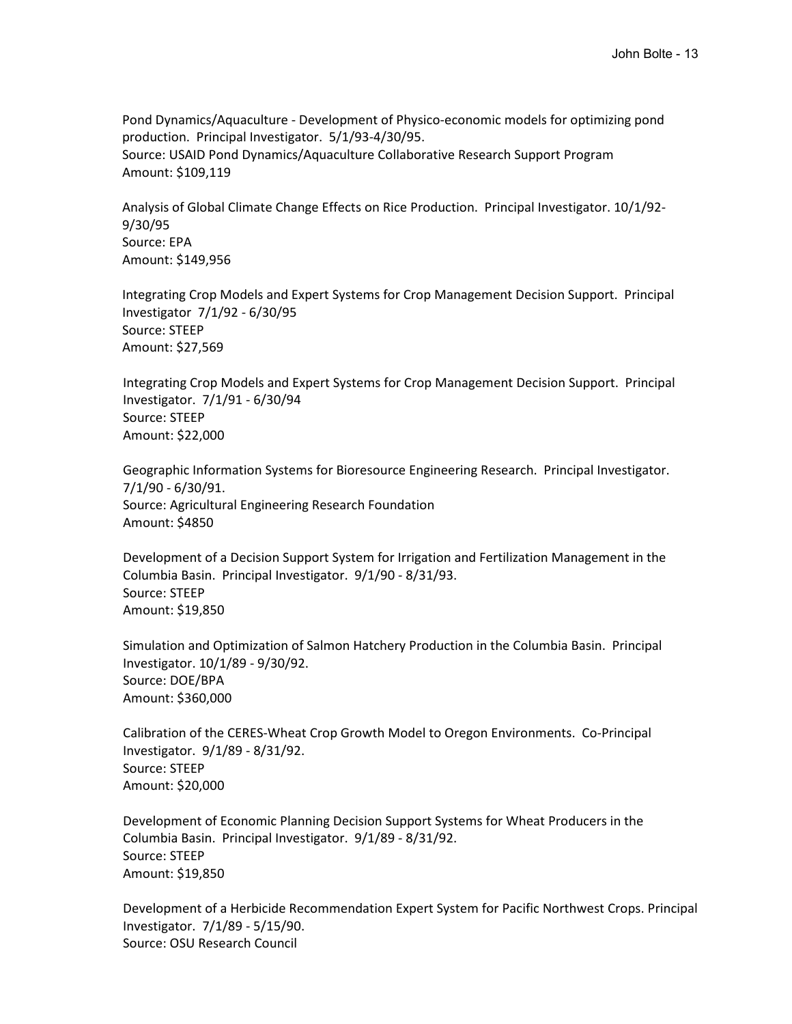Pond Dynamics/Aquaculture - Development of Physico-economic models for optimizing pond production. Principal Investigator. 5/1/93-4/30/95. Source: USAID Pond Dynamics/Aquaculture Collaborative Research Support Program Amount: \$109,119

Analysis of Global Climate Change Effects on Rice Production. Principal Investigator. 10/1/92- 9/30/95 Source: EPA Amount: \$149,956

Integrating Crop Models and Expert Systems for Crop Management Decision Support. Principal Investigator 7/1/92 - 6/30/95 Source: STEEP Amount: \$27,569

Integrating Crop Models and Expert Systems for Crop Management Decision Support. Principal Investigator. 7/1/91 - 6/30/94 Source: STEEP Amount: \$22,000

Geographic Information Systems for Bioresource Engineering Research. Principal Investigator. 7/1/90 - 6/30/91. Source: Agricultural Engineering Research Foundation Amount: \$4850

Development of a Decision Support System for Irrigation and Fertilization Management in the Columbia Basin. Principal Investigator. 9/1/90 - 8/31/93. Source: STEEP Amount: \$19,850

Simulation and Optimization of Salmon Hatchery Production in the Columbia Basin. Principal Investigator. 10/1/89 - 9/30/92. Source: DOE/BPA Amount: \$360,000

Calibration of the CERES-Wheat Crop Growth Model to Oregon Environments. Co-Principal Investigator. 9/1/89 - 8/31/92. Source: STEEP Amount: \$20,000

Development of Economic Planning Decision Support Systems for Wheat Producers in the Columbia Basin. Principal Investigator. 9/1/89 - 8/31/92. Source: STEEP Amount: \$19,850

Development of a Herbicide Recommendation Expert System for Pacific Northwest Crops. Principal Investigator. 7/1/89 - 5/15/90. Source: OSU Research Council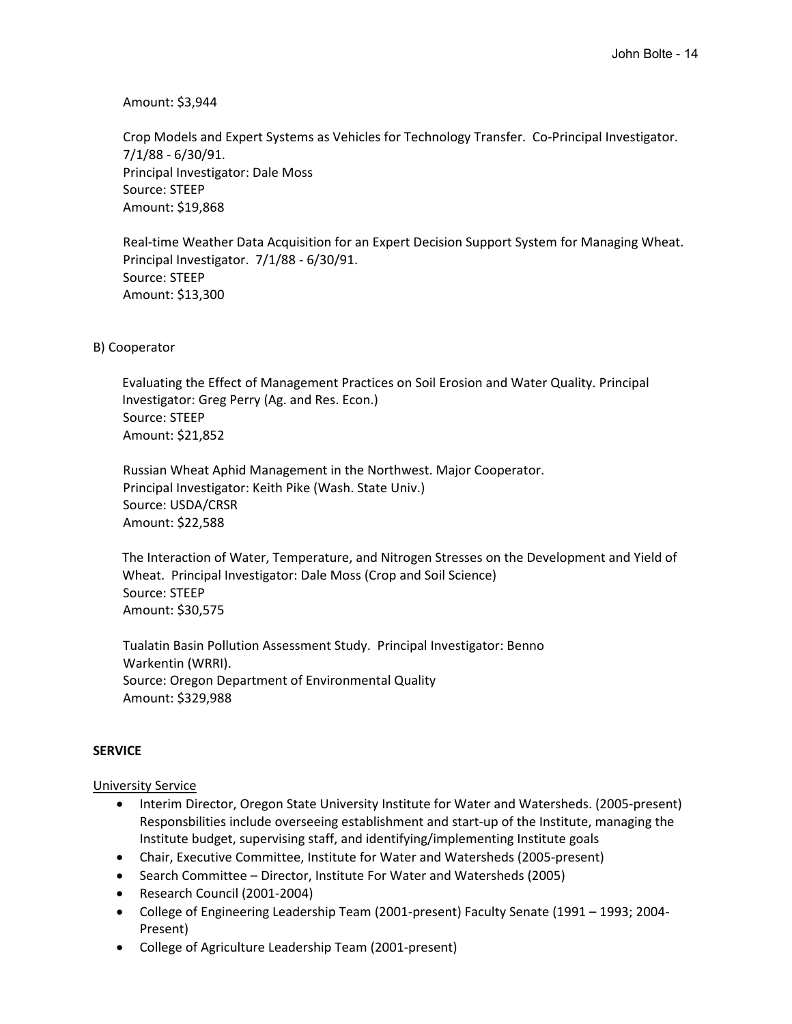Amount: \$3,944

Crop Models and Expert Systems as Vehicles for Technology Transfer. Co-Principal Investigator. 7/1/88 - 6/30/91. Principal Investigator: Dale Moss Source: STEEP Amount: \$19,868

Real-time Weather Data Acquisition for an Expert Decision Support System for Managing Wheat. Principal Investigator. 7/1/88 - 6/30/91. Source: STEEP Amount: \$13,300

B) Cooperator

Evaluating the Effect of Management Practices on Soil Erosion and Water Quality. Principal Investigator: Greg Perry (Ag. and Res. Econ.) Source: STEEP Amount: \$21,852

Russian Wheat Aphid Management in the Northwest. Major Cooperator. Principal Investigator: Keith Pike (Wash. State Univ.) Source: USDA/CRSR Amount: \$22,588

The Interaction of Water, Temperature, and Nitrogen Stresses on the Development and Yield of Wheat. Principal Investigator: Dale Moss (Crop and Soil Science) Source: STEEP Amount: \$30,575

Tualatin Basin Pollution Assessment Study. Principal Investigator: Benno Warkentin (WRRI). Source: Oregon Department of Environmental Quality Amount: \$329,988

# **SERVICE**

# University Service

- Interim Director, Oregon State University Institute for Water and Watersheds. (2005-present) Responsbilities include overseeing establishment and start-up of the Institute, managing the Institute budget, supervising staff, and identifying/implementing Institute goals
- Chair, Executive Committee, Institute for Water and Watersheds (2005-present)
- Search Committee Director, Institute For Water and Watersheds (2005)
- Research Council (2001-2004)
- College of Engineering Leadership Team (2001-present) Faculty Senate (1991 1993; 2004- Present)
- College of Agriculture Leadership Team (2001-present)